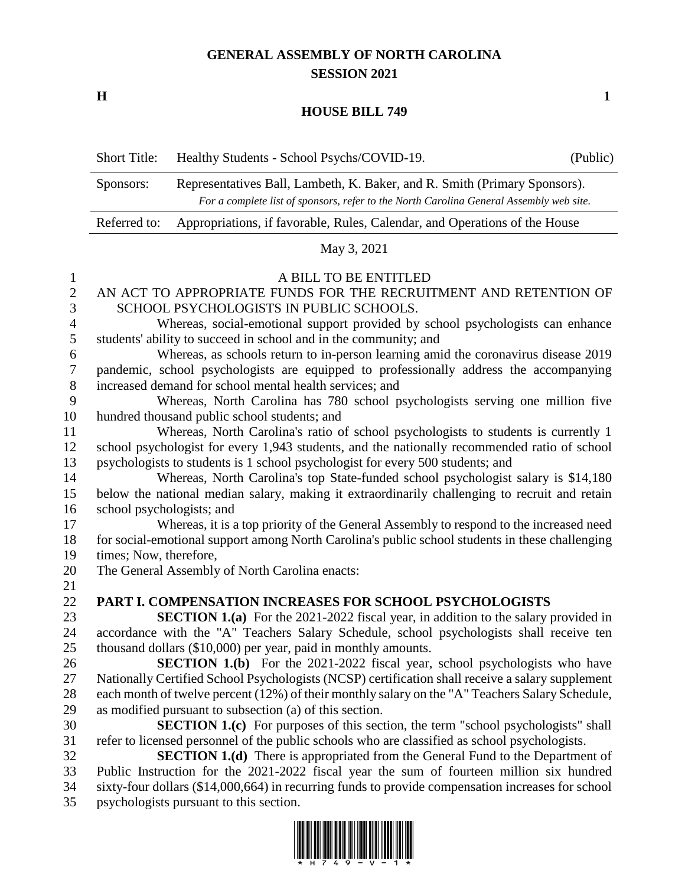## **GENERAL ASSEMBLY OF NORTH CAROLINA SESSION 2021**

**H 1**

## **HOUSE BILL 749**

Short Title: Healthy Students - School Psychs/COVID-19. (Public)

|                              | Representatives Ball, Lambeth, K. Baker, and R. Smith (Primary Sponsors).<br>Sponsors:<br>For a complete list of sponsors, refer to the North Carolina General Assembly web site. |                                                                                                  |  |  |  |  |  |
|------------------------------|-----------------------------------------------------------------------------------------------------------------------------------------------------------------------------------|--------------------------------------------------------------------------------------------------|--|--|--|--|--|
|                              | Referred to:                                                                                                                                                                      | Appropriations, if favorable, Rules, Calendar, and Operations of the House                       |  |  |  |  |  |
|                              |                                                                                                                                                                                   | May 3, 2021                                                                                      |  |  |  |  |  |
|                              |                                                                                                                                                                                   | A BILL TO BE ENTITLED                                                                            |  |  |  |  |  |
| $\mathbf{1}$<br>$\mathbf{2}$ |                                                                                                                                                                                   | AN ACT TO APPROPRIATE FUNDS FOR THE RECRUITMENT AND RETENTION OF                                 |  |  |  |  |  |
| 3                            |                                                                                                                                                                                   | SCHOOL PSYCHOLOGISTS IN PUBLIC SCHOOLS.                                                          |  |  |  |  |  |
| $\overline{4}$               |                                                                                                                                                                                   | Whereas, social-emotional support provided by school psychologists can enhance                   |  |  |  |  |  |
| $\sqrt{5}$                   | students' ability to succeed in school and in the community; and                                                                                                                  |                                                                                                  |  |  |  |  |  |
| 6                            |                                                                                                                                                                                   | Whereas, as schools return to in-person learning amid the coronavirus disease 2019               |  |  |  |  |  |
| $\tau$                       | pandemic, school psychologists are equipped to professionally address the accompanying                                                                                            |                                                                                                  |  |  |  |  |  |
| $8\phantom{1}$               | increased demand for school mental health services; and                                                                                                                           |                                                                                                  |  |  |  |  |  |
| 9                            |                                                                                                                                                                                   | Whereas, North Carolina has 780 school psychologists serving one million five                    |  |  |  |  |  |
| 10                           | hundred thousand public school students; and                                                                                                                                      |                                                                                                  |  |  |  |  |  |
| 11                           |                                                                                                                                                                                   | Whereas, North Carolina's ratio of school psychologists to students is currently 1               |  |  |  |  |  |
| 12                           | school psychologist for every 1,943 students, and the nationally recommended ratio of school                                                                                      |                                                                                                  |  |  |  |  |  |
| 13                           | psychologists to students is 1 school psychologist for every 500 students; and                                                                                                    |                                                                                                  |  |  |  |  |  |
| 14                           |                                                                                                                                                                                   | Whereas, North Carolina's top State-funded school psychologist salary is \$14,180                |  |  |  |  |  |
| 15                           | below the national median salary, making it extraordinarily challenging to recruit and retain                                                                                     |                                                                                                  |  |  |  |  |  |
| 16                           | school psychologists; and                                                                                                                                                         |                                                                                                  |  |  |  |  |  |
| 17                           | Whereas, it is a top priority of the General Assembly to respond to the increased need                                                                                            |                                                                                                  |  |  |  |  |  |
| 18                           | for social-emotional support among North Carolina's public school students in these challenging                                                                                   |                                                                                                  |  |  |  |  |  |
| 19<br>20                     | times; Now, therefore,<br>The General Assembly of North Carolina enacts:                                                                                                          |                                                                                                  |  |  |  |  |  |
| 21                           |                                                                                                                                                                                   |                                                                                                  |  |  |  |  |  |
| 22                           |                                                                                                                                                                                   | PART I. COMPENSATION INCREASES FOR SCHOOL PSYCHOLOGISTS                                          |  |  |  |  |  |
| 23                           |                                                                                                                                                                                   | <b>SECTION 1.(a)</b> For the 2021-2022 fiscal year, in addition to the salary provided in        |  |  |  |  |  |
| 24                           |                                                                                                                                                                                   | accordance with the "A" Teachers Salary Schedule, school psychologists shall receive ten         |  |  |  |  |  |
| 25                           |                                                                                                                                                                                   | thousand dollars (\$10,000) per year, paid in monthly amounts.                                   |  |  |  |  |  |
| 26                           |                                                                                                                                                                                   | <b>SECTION 1.(b)</b> For the 2021-2022 fiscal year, school psychologists who have                |  |  |  |  |  |
| 27                           |                                                                                                                                                                                   | Nationally Certified School Psychologists (NCSP) certification shall receive a salary supplement |  |  |  |  |  |
| 28                           |                                                                                                                                                                                   | each month of twelve percent (12%) of their monthly salary on the "A" Teachers Salary Schedule,  |  |  |  |  |  |
| 29                           |                                                                                                                                                                                   | as modified pursuant to subsection (a) of this section.                                          |  |  |  |  |  |
| 30                           |                                                                                                                                                                                   | <b>SECTION 1.(c)</b> For purposes of this section, the term "school psychologists" shall         |  |  |  |  |  |
| 31                           |                                                                                                                                                                                   | refer to licensed personnel of the public schools who are classified as school psychologists.    |  |  |  |  |  |
| 32                           |                                                                                                                                                                                   | <b>SECTION 1.(d)</b> There is appropriated from the General Fund to the Department of            |  |  |  |  |  |
| 22                           |                                                                                                                                                                                   | Public Instruction for the 2001-2002 fiscal year the sum of fourteen million six hundred         |  |  |  |  |  |

 Public Instruction for the 2021-2022 fiscal year the sum of fourteen million six hundred sixty-four dollars (\$14,000,664) in recurring funds to provide compensation increases for school psychologists pursuant to this section.

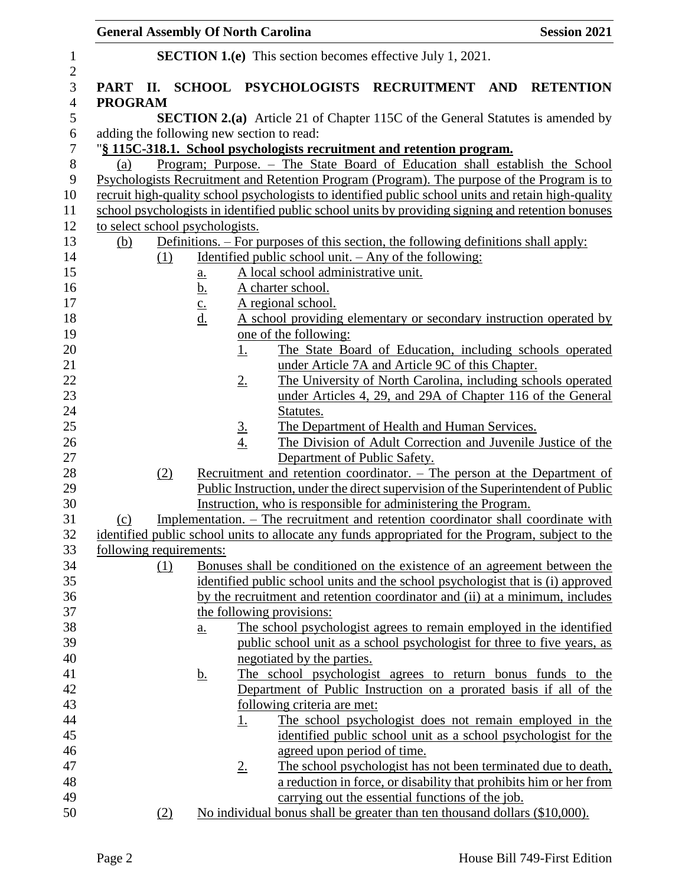| <b>General Assembly Of North Carolina</b> |     |               |             |                                                                                            |  | <b>Session 2021</b>                              |  |                                                                                                                                                                                        |
|-------------------------------------------|-----|---------------|-------------|--------------------------------------------------------------------------------------------|--|--------------------------------------------------|--|----------------------------------------------------------------------------------------------------------------------------------------------------------------------------------------|
|                                           |     |               |             | <b>SECTION 1.(e)</b> This section becomes effective July 1, 2021.                          |  |                                                  |  |                                                                                                                                                                                        |
|                                           |     |               |             |                                                                                            |  |                                                  |  | PART II. SCHOOL PSYCHOLOGISTS RECRUITMENT AND RETENTION                                                                                                                                |
| <b>PROGRAM</b>                            |     |               |             |                                                                                            |  |                                                  |  |                                                                                                                                                                                        |
|                                           |     |               |             |                                                                                            |  |                                                  |  | <b>SECTION 2.(a)</b> Article 21 of Chapter 115C of the General Statutes is amended by                                                                                                  |
|                                           |     |               |             | adding the following new section to read:                                                  |  |                                                  |  |                                                                                                                                                                                        |
|                                           |     |               |             | "§ 115C-318.1. School psychologists recruitment and retention program.                     |  |                                                  |  |                                                                                                                                                                                        |
| (a)                                       |     |               |             |                                                                                            |  |                                                  |  | Program; Purpose. - The State Board of Education shall establish the School                                                                                                            |
|                                           |     |               |             |                                                                                            |  |                                                  |  | Psychologists Recruitment and Retention Program (Program). The purpose of the Program is to                                                                                            |
|                                           |     |               |             |                                                                                            |  |                                                  |  | recruit high-quality school psychologists to identified public school units and retain high-quality                                                                                    |
|                                           |     |               |             |                                                                                            |  |                                                  |  | school psychologists in identified public school units by providing signing and retention bonuses                                                                                      |
| to select school psychologists.           |     |               |             |                                                                                            |  |                                                  |  |                                                                                                                                                                                        |
| (b)                                       |     |               |             | <u>Definitions. – For purposes of this section, the following definitions shall apply:</u> |  |                                                  |  |                                                                                                                                                                                        |
|                                           | (1) |               |             | <u>Identified public school unit. - Any of the following:</u>                              |  |                                                  |  |                                                                                                                                                                                        |
|                                           |     | <u>a.</u>     |             | A local school administrative unit.                                                        |  |                                                  |  |                                                                                                                                                                                        |
|                                           |     | <u>b.</u>     |             | A charter school.                                                                          |  |                                                  |  |                                                                                                                                                                                        |
|                                           |     | $\frac{c}{d}$ |             | A regional school.                                                                         |  |                                                  |  |                                                                                                                                                                                        |
|                                           |     |               |             |                                                                                            |  |                                                  |  | A school providing elementary or secondary instruction operated by                                                                                                                     |
|                                           |     |               |             | one of the following:                                                                      |  |                                                  |  |                                                                                                                                                                                        |
|                                           |     |               | <u>1.</u>   |                                                                                            |  |                                                  |  | The State Board of Education, including schools operated                                                                                                                               |
|                                           |     |               |             |                                                                                            |  | under Article 7A and Article 9C of this Chapter. |  |                                                                                                                                                                                        |
|                                           |     |               | <u>2.</u>   |                                                                                            |  |                                                  |  | The University of North Carolina, including schools operated                                                                                                                           |
|                                           |     |               |             |                                                                                            |  |                                                  |  | under Articles 4, 29, and 29A of Chapter 116 of the General                                                                                                                            |
|                                           |     |               |             | Statutes.                                                                                  |  |                                                  |  |                                                                                                                                                                                        |
|                                           |     |               | $rac{3}{4}$ |                                                                                            |  | The Department of Health and Human Services.     |  |                                                                                                                                                                                        |
|                                           |     |               |             |                                                                                            |  |                                                  |  | The Division of Adult Correction and Juvenile Justice of the                                                                                                                           |
|                                           |     |               |             | Department of Public Safety.                                                               |  |                                                  |  |                                                                                                                                                                                        |
|                                           | (2) |               |             |                                                                                            |  |                                                  |  | <u>Recruitment and retention coordinator. – The person at the Department of</u><br>Public Instruction, under the direct supervision of the Superintendent of Public                    |
|                                           |     |               |             |                                                                                            |  |                                                  |  |                                                                                                                                                                                        |
|                                           |     |               |             | Instruction, who is responsible for administering the Program.                             |  |                                                  |  |                                                                                                                                                                                        |
| (c)                                       |     |               |             |                                                                                            |  |                                                  |  | Implementation. - The recruitment and retention coordinator shall coordinate with<br>identified public school units to allocate any funds appropriated for the Program, subject to the |
| following requirements:                   |     |               |             |                                                                                            |  |                                                  |  |                                                                                                                                                                                        |
|                                           | (1) |               |             |                                                                                            |  |                                                  |  | Bonuses shall be conditioned on the existence of an agreement between the                                                                                                              |
|                                           |     |               |             |                                                                                            |  |                                                  |  | identified public school units and the school psychologist that is (i) approved                                                                                                        |
|                                           |     |               |             |                                                                                            |  |                                                  |  | by the recruitment and retention coordinator and (ii) at a minimum, includes                                                                                                           |
|                                           |     |               |             | the following provisions:                                                                  |  |                                                  |  |                                                                                                                                                                                        |
|                                           |     | a.            |             |                                                                                            |  |                                                  |  | The school psychologist agrees to remain employed in the identified                                                                                                                    |
|                                           |     |               |             |                                                                                            |  |                                                  |  | public school unit as a school psychologist for three to five years, as                                                                                                                |
|                                           |     |               |             | negotiated by the parties.                                                                 |  |                                                  |  |                                                                                                                                                                                        |
|                                           |     | <u>b.</u>     |             |                                                                                            |  |                                                  |  | The school psychologist agrees to return bonus funds to the                                                                                                                            |
|                                           |     |               |             |                                                                                            |  |                                                  |  | Department of Public Instruction on a prorated basis if all of the                                                                                                                     |
|                                           |     |               |             | following criteria are met:                                                                |  |                                                  |  |                                                                                                                                                                                        |
|                                           |     |               | <u>1.</u>   |                                                                                            |  |                                                  |  | The school psychologist does not remain employed in the                                                                                                                                |
|                                           |     |               |             |                                                                                            |  |                                                  |  | identified public school unit as a school psychologist for the                                                                                                                         |
|                                           |     |               |             | agreed upon period of time.                                                                |  |                                                  |  |                                                                                                                                                                                        |
|                                           |     |               | <u>2.</u>   |                                                                                            |  |                                                  |  | The school psychologist has not been terminated due to death,                                                                                                                          |
|                                           |     |               |             |                                                                                            |  |                                                  |  | a reduction in force, or disability that prohibits him or her from                                                                                                                     |
|                                           |     |               |             |                                                                                            |  | carrying out the essential functions of the job. |  |                                                                                                                                                                                        |
|                                           | (2) |               |             | No individual bonus shall be greater than ten thousand dollars (\$10,000).                 |  |                                                  |  |                                                                                                                                                                                        |